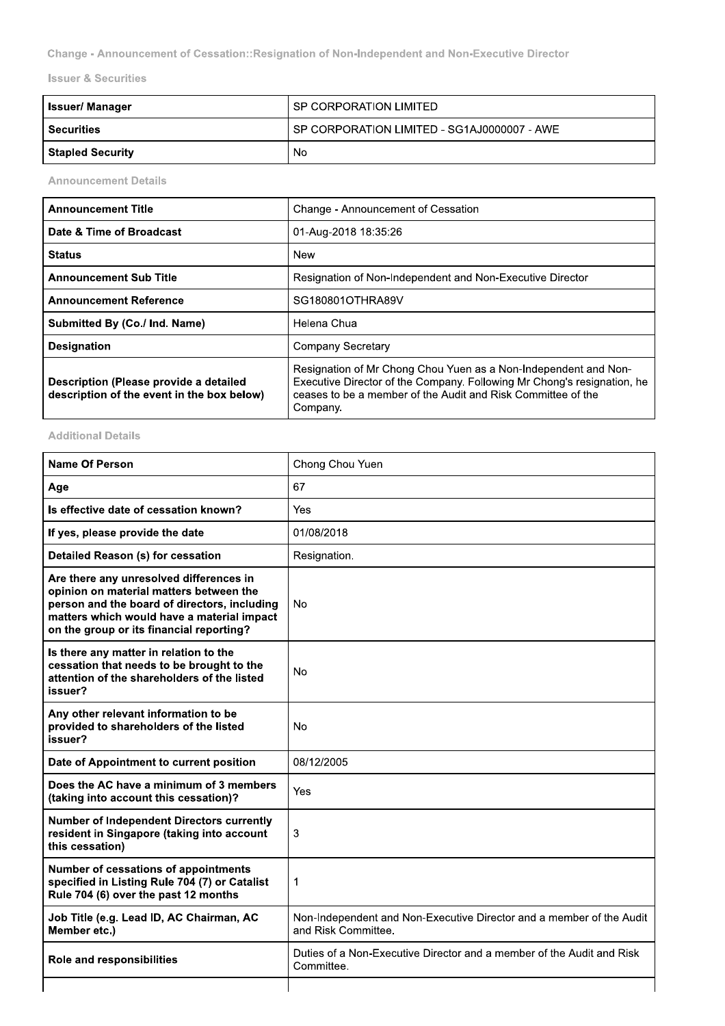Change - Announcement of Cessation::Resignation of Non-Independent and Non-Executive Director

**Issuer & Securities** 

| <b>Issuer/Manager</b>   | I SP CORPORATION LIMITED                      |
|-------------------------|-----------------------------------------------|
| <b>Securities</b>       | I SP CORPORATION LIMITED - SG1AJ0000007 - AWE |
| <b>Stapled Security</b> | No                                            |

**Announcement Details** 

| <b>Announcement Title</b>                                                            | Change - Announcement of Cessation                                                                                                                                                                                     |
|--------------------------------------------------------------------------------------|------------------------------------------------------------------------------------------------------------------------------------------------------------------------------------------------------------------------|
| Date & Time of Broadcast                                                             | 01-Aug-2018 18:35:26                                                                                                                                                                                                   |
| <b>Status</b>                                                                        | New                                                                                                                                                                                                                    |
| <b>Announcement Sub Title</b>                                                        | Resignation of Non-Independent and Non-Executive Director                                                                                                                                                              |
| <b>Announcement Reference</b>                                                        | SG180801OTHRA89V                                                                                                                                                                                                       |
| Submitted By (Co./ Ind. Name)                                                        | Helena Chua                                                                                                                                                                                                            |
| <b>Designation</b>                                                                   | Company Secretary                                                                                                                                                                                                      |
| Description (Please provide a detailed<br>description of the event in the box below) | Resignation of Mr Chong Chou Yuen as a Non-Independent and Non-<br>Executive Director of the Company. Following Mr Chong's resignation, he<br>ceases to be a member of the Audit and Risk Committee of the<br>Company. |

# **Additional Details**

| <b>Name Of Person</b>                                                                                                                                                                                                        | Chong Chou Yuen                                                                             |
|------------------------------------------------------------------------------------------------------------------------------------------------------------------------------------------------------------------------------|---------------------------------------------------------------------------------------------|
| Age                                                                                                                                                                                                                          | 67                                                                                          |
| Is effective date of cessation known?                                                                                                                                                                                        | Yes                                                                                         |
| If yes, please provide the date                                                                                                                                                                                              | 01/08/2018                                                                                  |
| Detailed Reason (s) for cessation                                                                                                                                                                                            | Resignation.                                                                                |
| Are there any unresolved differences in<br>opinion on material matters between the<br>person and the board of directors, including<br>matters which would have a material impact<br>on the group or its financial reporting? | No                                                                                          |
| Is there any matter in relation to the<br>cessation that needs to be brought to the<br>attention of the shareholders of the listed<br>issuer?                                                                                | No                                                                                          |
| Any other relevant information to be<br>provided to shareholders of the listed<br>issuer?                                                                                                                                    | No                                                                                          |
| Date of Appointment to current position                                                                                                                                                                                      | 08/12/2005                                                                                  |
| Does the AC have a minimum of 3 members<br>(taking into account this cessation)?                                                                                                                                             | Yes                                                                                         |
| <b>Number of Independent Directors currently</b><br>resident in Singapore (taking into account<br>this cessation)                                                                                                            | 3                                                                                           |
| Number of cessations of appointments<br>specified in Listing Rule 704 (7) or Catalist<br>Rule 704 (6) over the past 12 months                                                                                                | 1                                                                                           |
| Job Title (e.g. Lead ID, AC Chairman, AC<br>Member etc.)                                                                                                                                                                     | Non-Independent and Non-Executive Director and a member of the Audit<br>and Risk Committee. |
| Role and responsibilities                                                                                                                                                                                                    | Duties of a Non-Executive Director and a member of the Audit and Risk<br>Committee.         |
|                                                                                                                                                                                                                              |                                                                                             |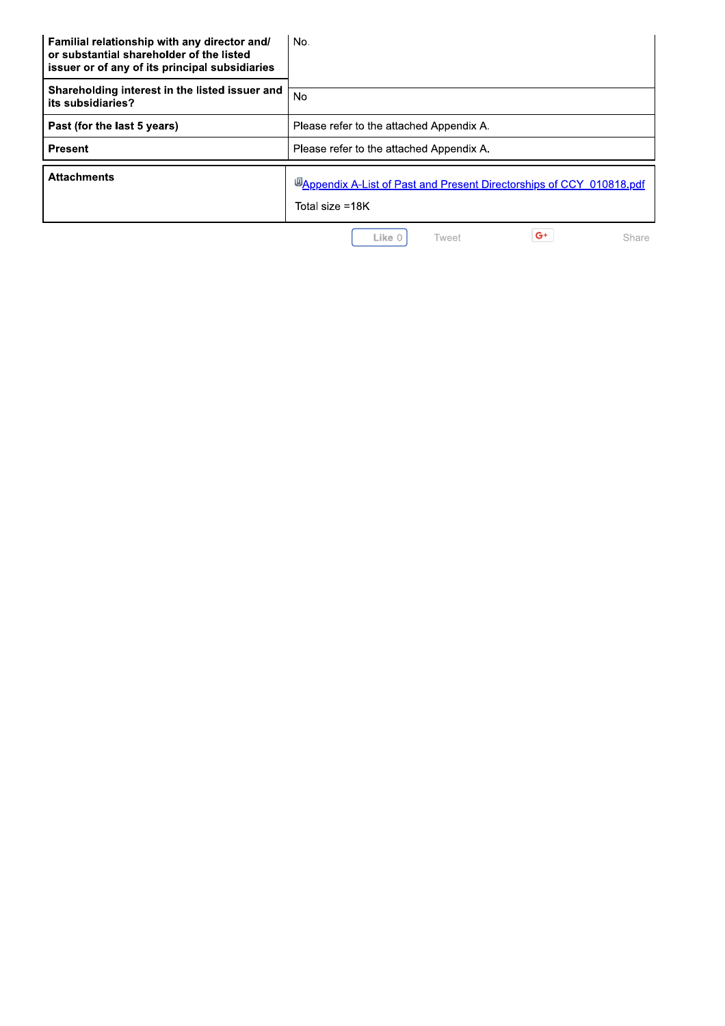| Familial relationship with any director and/<br>or substantial shareholder of the listed<br>issuer or of any of its principal subsidiaries | No.                                                                                      |
|--------------------------------------------------------------------------------------------------------------------------------------------|------------------------------------------------------------------------------------------|
| Shareholding interest in the listed issuer and<br>its subsidiaries?                                                                        | N <sub>o</sub>                                                                           |
| Past (for the last 5 years)                                                                                                                | Please refer to the attached Appendix A.                                                 |
| <b>Present</b>                                                                                                                             | Please refer to the attached Appendix A.                                                 |
| <b>Attachments</b>                                                                                                                         | U Appendix A-List of Past and Present Directorships of CCY 010818.pdf<br>Total size =18K |
|                                                                                                                                            | $G^+$<br>Like 0<br>Share<br>Tweet                                                        |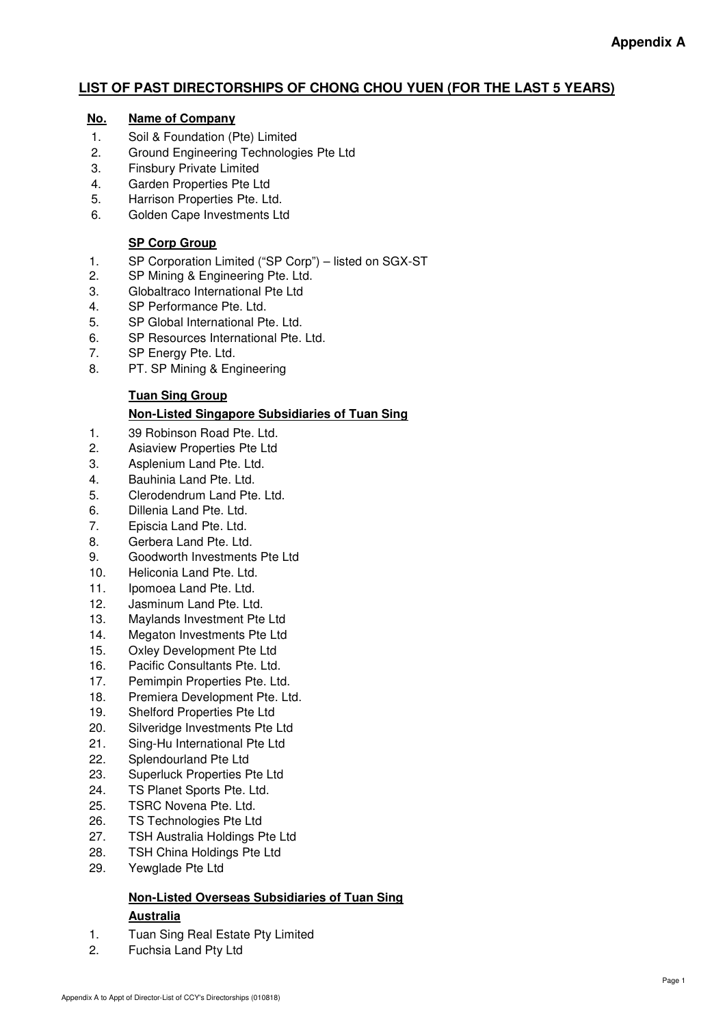# **LIST OF PAST DIRECTORSHIPS OF CHONG CHOU YUEN (FOR THE LAST 5 YEARS)**

## **No. Name of Company**

- 1. Soil & Foundation (Pte) Limited
- 2. Ground Engineering Technologies Pte Ltd
- 3. Finsbury Private Limited
- 4. Garden Properties Pte Ltd
- 5. Harrison Properties Pte. Ltd.
- 6. Golden Cape Investments Ltd

## **SP Corp Group**

- 1. SP Corporation Limited ("SP Corp") listed on SGX-ST<br>2. SP Mining & Engineering Pte. Ltd.
- SP Mining & Engineering Pte. Ltd.
- 3. Globaltraco International Pte Ltd
- 4. SP Performance Pte. Ltd.
- 5. SP Global International Pte. Ltd.
- 6. SP Resources International Pte. Ltd.
- 7. SP Energy Pte. Ltd.
- 8. PT. SP Mining & Engineering

## **Tuan Sing Group**

## **Non-Listed Singapore Subsidiaries of Tuan Sing**

- 1. 39 Robinson Road Pte. Ltd.
- 2. Asiaview Properties Pte Ltd
- 3. Asplenium Land Pte. Ltd.
- 4. Bauhinia Land Pte. Ltd.
- 5. Clerodendrum Land Pte. Ltd.
- 6. Dillenia Land Pte. Ltd.
- 7. Episcia Land Pte. Ltd.
- 8. Gerbera Land Pte. Ltd.
- 9. Goodworth Investments Pte Ltd
- 10. Heliconia Land Pte. Ltd.
- 11. Ipomoea Land Pte. Ltd.
- 12. Jasminum Land Pte. Ltd.
- 13. Maylands Investment Pte Ltd
- 14. Megaton Investments Pte Ltd
- 15. Oxley Development Pte Ltd
- 16. Pacific Consultants Pte. Ltd.
- 17. Pemimpin Properties Pte. Ltd.
- 18. Premiera Development Pte. Ltd.
- 19. Shelford Properties Pte Ltd
- 20. Silveridge Investments Pte Ltd
- 21. Sing-Hu International Pte Ltd
- 22. Splendourland Pte Ltd
- 23. Superluck Properties Pte Ltd
- 24. TS Planet Sports Pte. Ltd.
- 25. TSRC Novena Pte. Ltd.
- 26. TS Technologies Pte Ltd
- 27. TSH Australia Holdings Pte Ltd
- 28. TSH China Holdings Pte Ltd
- 29. Yewglade Pte Ltd

#### **Non-Listed Overseas Subsidiaries of Tuan Sing Australia**

- 1. Tuan Sing Real Estate Pty Limited
- 2. Fuchsia Land Pty Ltd